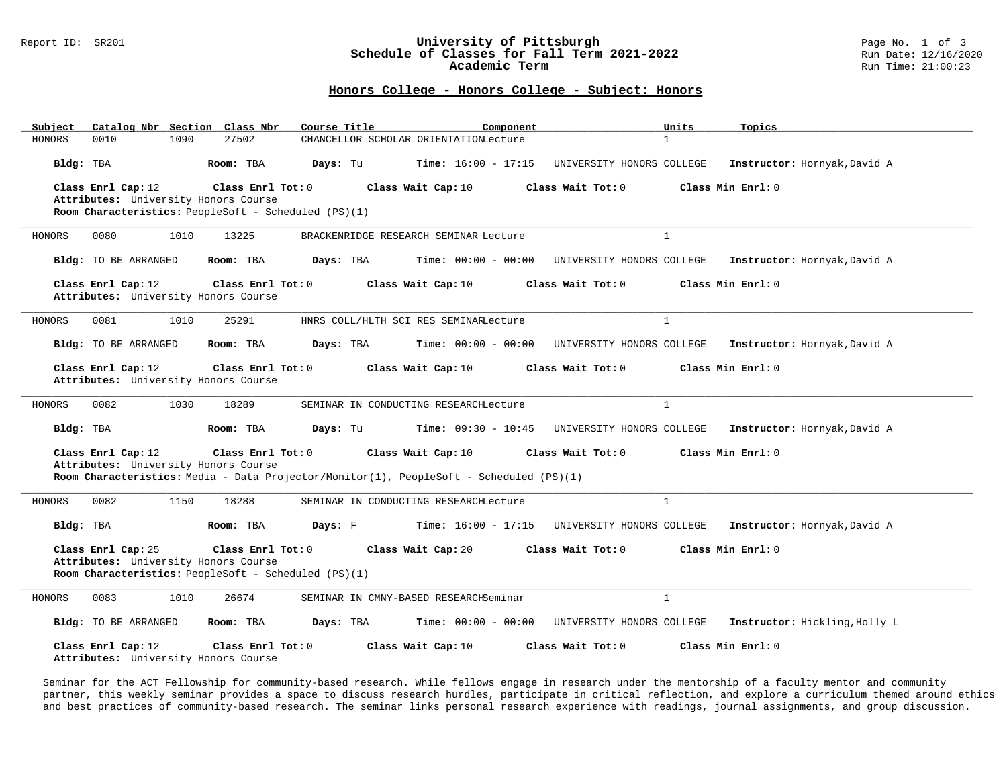## Report ID: SR201 **University of Pittsburgh University of Pittsburgh** Page No. 1 of 3<br>**Schedule of Classes for Fall Term 2021-2022** Run Date: 12/16/2020 Schedule of Classes for Fall Term 2021-2022<br>Academic Term

## **Honors College - Honors College - Subject: Honors**

| Catalog Nbr Section Class Nbr<br>Subject                                                                                                | Course Title<br>Component                                                               | Topics<br>Units                                            |
|-----------------------------------------------------------------------------------------------------------------------------------------|-----------------------------------------------------------------------------------------|------------------------------------------------------------|
| 27502<br>HONORS<br>0010<br>1090                                                                                                         | CHANCELLOR SCHOLAR ORIENTATIONLecture                                                   | $\mathbf{1}$                                               |
| Bldg: TBA<br>Room: TBA                                                                                                                  | Days: Tu<br>Time: 16:00 - 17:15 UNIVERSITY HONORS COLLEGE                               | Instructor: Hornyak, David A                               |
| Class Enrl Cap: 12<br>Class Enrl Tot: 0                                                                                                 | Class Wait Cap: 10<br>Class Wait Tot: 0                                                 | Class Min Enrl: 0                                          |
| Attributes: University Honors Course                                                                                                    |                                                                                         |                                                            |
| Room Characteristics: PeopleSoft - Scheduled (PS)(1)                                                                                    |                                                                                         |                                                            |
| 0080<br>13225<br>HONORS<br>1010                                                                                                         | BRACKENRIDGE RESEARCH SEMINAR Lecture                                                   | $\mathbf{1}$                                               |
| <b>Bldg:</b> TO BE ARRANGED<br>Room: TBA                                                                                                | <b>Time:</b> $00:00 - 00:00$<br>Days: TBA                                               | UNIVERSITY HONORS COLLEGE<br>Instructor: Hornyak, David A  |
| Class Enrl Cap: 12<br>Class Enrl Tot: 0<br>Attributes: University Honors Course                                                         | Class Wait Cap: 10<br>Class Wait Tot: 0                                                 | Class Min Enrl: 0                                          |
| 0081<br>1010<br>25291<br>HONORS                                                                                                         | HNRS COLL/HLTH SCI RES SEMINARLecture                                                   | $\mathbf{1}$                                               |
| Bldg: TO BE ARRANGED<br>Room: TBA                                                                                                       | $Time: 00:00 - 00:00$<br>Days: TBA                                                      | Instructor: Hornyak, David A<br>UNIVERSITY HONORS COLLEGE  |
| Class Enrl Cap: 12<br>Class Enrl Tot: 0<br>Attributes: University Honors Course                                                         | Class Wait Cap: 10<br>Class Wait Tot: 0                                                 | Class Min Enrl: 0                                          |
| 0082<br>18289<br>HONORS<br>1030                                                                                                         | SEMINAR IN CONDUCTING RESEARCHLecture                                                   | $\mathbf{1}$                                               |
| Bldg: TBA<br>Room: TBA                                                                                                                  | <b>Time:</b> $09:30 - 10:45$<br>Days: Tu                                                | UNIVERSITY HONORS COLLEGE<br>Instructor: Hornyak, David A  |
| Class Enrl Cap: 12<br>Class Enrl Tot: 0                                                                                                 | Class Wait Cap: 10<br>Class Wait Tot: 0                                                 | Class Min Enrl: 0                                          |
| Attributes: University Honors Course                                                                                                    |                                                                                         |                                                            |
|                                                                                                                                         | Room Characteristics: Media - Data Projector/Monitor(1), PeopleSoft - Scheduled (PS)(1) |                                                            |
| 0082<br>1150<br>18288<br>HONORS                                                                                                         | SEMINAR IN CONDUCTING RESEARCHLecture                                                   | $\mathbf{1}$                                               |
| Bldg: TBA<br>Room: TBA                                                                                                                  | Days: F<br><b>Time:</b> $16:00 - 17:15$                                                 | UNIVERSITY HONORS COLLEGE<br>Instructor: Hornyak, David A  |
| Class Enrl Cap: 25<br>Class Enrl Tot: 0<br>Attributes: University Honors Course<br>Room Characteristics: PeopleSoft - Scheduled (PS)(1) | Class Wait Cap: 20<br>Class Wait Tot: 0                                                 | Class Min Enrl: 0                                          |
| 26674<br>HONORS<br>0083<br>1010                                                                                                         | SEMINAR IN CMNY-BASED RESEARCHSeminar                                                   | $\mathbf{1}$                                               |
| <b>Bldg:</b> TO BE ARRANGED<br>Room: TBA                                                                                                | Days: TBA<br><b>Time:</b> $00:00 - 00:00$                                               | UNIVERSITY HONORS COLLEGE<br>Instructor: Hickling, Holly L |
| Class Enrl Cap: 12<br>Class Enrl Tot: 0<br>Attributes: University Honors Course                                                         | Class Wait Tot: 0<br>Class Wait Cap: 10                                                 | Class Min Enrl: 0                                          |

Seminar for the ACT Fellowship for community-based research. While fellows engage in research under the mentorship of a faculty mentor and community partner, this weekly seminar provides a space to discuss research hurdles, participate in critical reflection, and explore a curriculum themed around ethics and best practices of community-based research. The seminar links personal research experience with readings, journal assignments, and group discussion.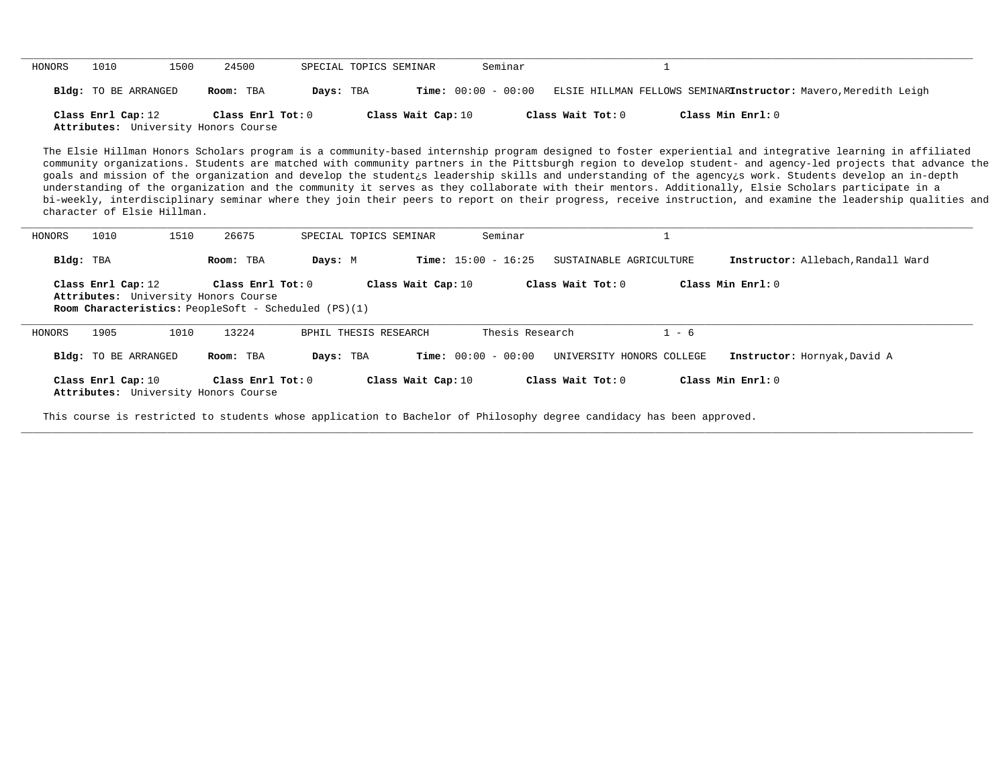| HONORS | 1010                        | 1500 | 24500                                                     | SPECIAL TOPICS SEMINAR |                    | Seminar               |                   |                                                                 |
|--------|-----------------------------|------|-----------------------------------------------------------|------------------------|--------------------|-----------------------|-------------------|-----------------------------------------------------------------|
|        | <b>Bldg:</b> TO BE ARRANGED |      | Room: TBA                                                 | Days: TBA              |                    | $Time: 00:00 - 00:00$ |                   | ELSIE HILLMAN FELLOWS SEMINARInstructor: Mavero, Meredith Leigh |
|        | Class Enrl Cap: 12          |      | Class Enrl Tot: 0<br>Attributes: University Honors Course |                        | Class Wait Cap: 10 |                       | Class Wait Tot: 0 | Class Min Enrl: 0                                               |

The Elsie Hillman Honors Scholars program is a community-based internship program designed to foster experiential and integrative learning in affiliated community organizations. Students are matched with community partners in the Pittsburgh region to develop student- and agency-led projects that advance the goals and mission of the organization and develop the student¿s leadership skills and understanding of the agency¿s work. Students develop an in-depth understanding of the organization and the community it serves as they collaborate with their mentors. Additionally, Elsie Scholars participate in a bi-weekly, interdisciplinary seminar where they join their peers to report on their progress, receive instruction, and examine the leadership qualities and character of Elsie Hillman.

| HONORS    | 1010                                                       | 1510 | 26675               |                                                             | SPECIAL TOPICS SEMINAR |                    |                              | Seminar         |                           |         |                                    |
|-----------|------------------------------------------------------------|------|---------------------|-------------------------------------------------------------|------------------------|--------------------|------------------------------|-----------------|---------------------------|---------|------------------------------------|
| Bldg: TBA |                                                            |      | Room: TBA           | Days: M                                                     |                        |                    | <b>Time:</b> $15:00 - 16:25$ |                 | SUSTAINABLE AGRICULTURE   |         | Instructor: Allebach, Randall Ward |
|           | Class Enrl Cap: 12<br>Attributes: University Honors Course |      | Class Enrl Tot: 0   | <b>Room Characteristics:</b> PeopleSoft - Scheduled (PS)(1) |                        | Class Wait Cap: 10 |                              |                 | Class Wait Tot: $0$       |         | Class Min $Enr1:0$                 |
| HONORS    | 1905                                                       | 1010 | 13224               |                                                             | BPHIL THESIS RESEARCH  |                    |                              | Thesis Research |                           | $1 - 6$ |                                    |
|           | <b>Bldg:</b> TO BE ARRANGED                                |      | Room: TBA           | Days: TBA                                                   |                        |                    | <b>Time:</b> $00:00 - 00:00$ |                 | UNIVERSITY HONORS COLLEGE |         | Instructor: Hornyak, David A       |
|           | Class Enrl Cap: 10<br>Attributes: University Honors Course |      | Class Enrl Tot: $0$ |                                                             |                        | Class Wait Cap: 10 |                              |                 | Class Wait $Tot: 0$       |         | Class Min $Enr1:0$                 |

**\_\_\_\_\_\_\_\_\_\_\_\_\_\_\_\_\_\_\_\_\_\_\_\_\_\_\_\_\_\_\_\_\_\_\_\_\_\_\_\_\_\_\_\_\_\_\_\_\_\_\_\_\_\_\_\_\_\_\_\_\_\_\_\_\_\_\_\_\_\_\_\_\_\_\_\_\_\_\_\_\_\_\_\_\_\_\_\_\_\_\_\_\_\_\_\_\_\_\_\_\_\_\_\_\_\_\_\_\_\_\_\_\_\_\_\_\_\_\_\_\_\_\_\_\_\_\_\_\_\_\_\_\_\_\_\_\_\_\_\_\_\_\_\_\_\_\_\_\_\_\_\_\_\_\_\_**

This course is restricted to students whose application to Bachelor of Philosophy degree candidacy has been approved.